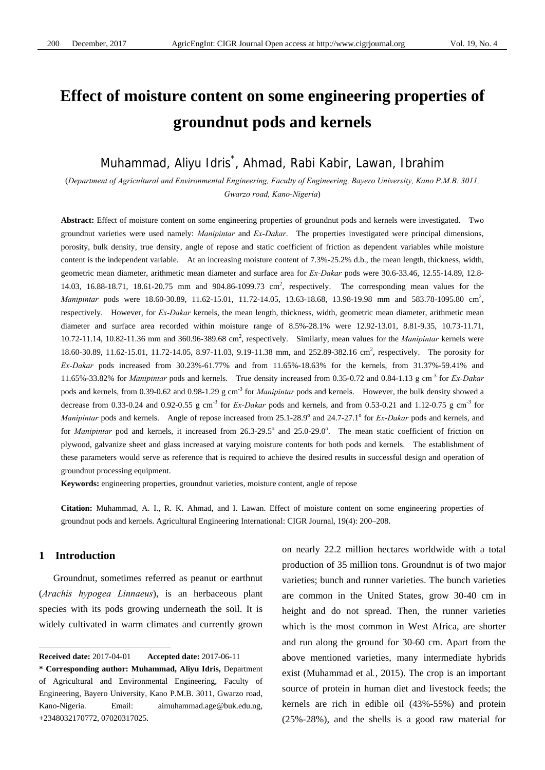# **Effect of moisture content on some engineering properties of groundnut pods and kernels**

# Muhammad, Aliyu Idris\* , Ahmad, Rabi Kabir, Lawan, Ibrahim

(*Department of Agricultural and Environmental Engineering, Faculty of Engineering, Bayero University, Kano P.M.B. 3011, Gwarzo road, Kano-Nigeria*)

**Abstract:** Effect of moisture content on some engineering properties of groundnut pods and kernels were investigated. Two groundnut varieties were used namely: *Manipintar* and *Ex-Dakar*. The properties investigated were principal dimensions, porosity, bulk density, true density, angle of repose and static coefficient of friction as dependent variables while moisture content is the independent variable. At an increasing moisture content of 7.3%-25.2% d.b., the mean length, thickness, width, geometric mean diameter, arithmetic mean diameter and surface area for *Ex-Dakar* pods were 30.6-33.46, 12.55-14.89, 12.8- 14.03, 16.88-18.71, 18.61-20.75 mm and 904.86-1099.73 cm<sup>2</sup>, respectively. The corresponding mean values for the *Manipintar* pods were 18.60-30.89, 11.62-15.01, 11.72-14.05, 13.63-18.68, 13.98-19.98 mm and 583.78-1095.80 cm<sup>2</sup>, respectively. However, for *Ex-Dakar* kernels, the mean length, thickness, width, geometric mean diameter, arithmetic mean diameter and surface area recorded within moisture range of 8.5%-28.1% were 12.92-13.01, 8.81-9.35, 10.73-11.71, 10.72-11.14, 10.82-11.36 mm and 360.96-389.68 cm2 , respectively. Similarly, mean values for the *Manipintar* kernels were 18.60-30.89, 11.62-15.01, 11.72-14.05, 8.97-11.03, 9.19-11.38 mm, and 252.89-382.16 cm<sup>2</sup>, respectively. The porosity for *Ex-Dakar* pods increased from 30.23%-61.77% and from 11.65%-18.63% for the kernels, from 31.37%-59.41% and 11.65%-33.82% for *Manipintar* pods and kernels. True density increased from 0.35-0.72 and 0.84-1.13 g cm-3 for *Ex-Dakar* pods and kernels, from 0.39-0.62 and 0.98-1.29 g cm-3 for *Manipintar* pods and kernels. However, the bulk density showed a decrease from 0.33-0.24 and 0.92-0.55 g cm<sup>-3</sup> for *Ex-Dakar* pods and kernels, and from 0.53-0.21 and 1.12-0.75 g cm<sup>-3</sup> for Manipintar pods and kernels. Angle of repose increased from 25.1-28.9° and 24.7-27.1° for *Ex-Dakar* pods and kernels, and for *Manipintar* pod and kernels, it increased from 26.3-29.5° and 25.0-29.0°. The mean static coefficient of friction on plywood, galvanize sheet and glass increased at varying moisture contents for both pods and kernels. The establishment of these parameters would serve as reference that is required to achieve the desired results in successful design and operation of groundnut processing equipment.

**Keywords:** engineering properties, groundnut varieties, moisture content, angle of repose

**Citation:** Muhammad, A. I., R. K. Ahmad, and I. Lawan. Effect of moisture content on some engineering properties of groundnut pods and kernels. Agricultural Engineering International: CIGR Journal, 19(4): 200–208.

# **1 Introduction**

 $\overline{a}$ 

Groundnut, sometimes referred as peanut or earthnut (*Arachis hypogea Linnaeus*), is an herbaceous plant species with its pods growing underneath the soil. It is widely cultivated in warm climates and currently grown on nearly 22.2 million hectares worldwide with a total production of 35 million tons. Groundnut is of two major varieties; bunch and runner varieties. The bunch varieties are common in the United States, grow 30-40 cm in height and do not spread. Then, the runner varieties which is the most common in West Africa, are shorter and run along the ground for 30-60 cm. Apart from the above mentioned varieties, many intermediate hybrids exist (Muhammad et al*.*, 2015). The crop is an important source of protein in human diet and livestock feeds; the kernels are rich in edible oil (43%-55%) and protein (25%-28%), and the shells is a good raw material for

**Received date:** 2017-04-01 **Accepted date:** 2017-06-11

**<sup>\*</sup> Corresponding author: Muhammad, Aliyu Idris,** Department of Agricultural and Environmental Engineering, Faculty of Engineering, Bayero University, Kano P.M.B. 3011, Gwarzo road, Kano-Nigeria. Email: aimuhammad.age@buk.edu.ng, +2348032170772, 07020317025.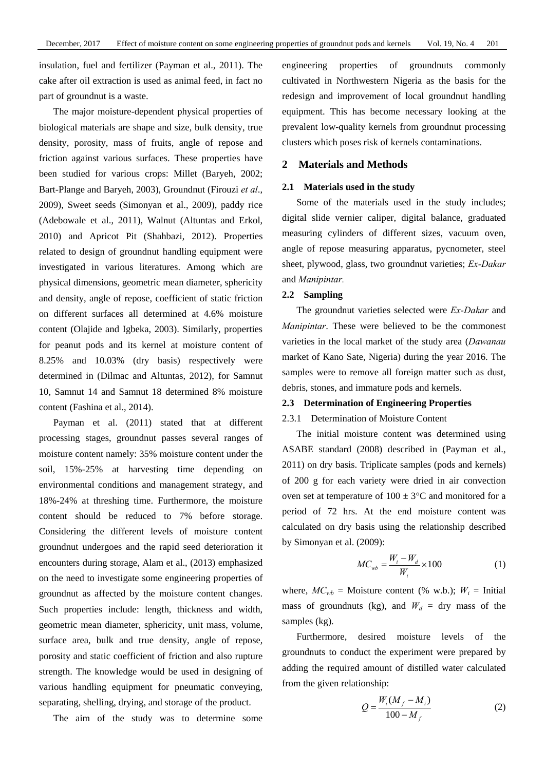insulation, fuel and fertilizer (Payman et al., 2011). The cake after oil extraction is used as animal feed, in fact no part of groundnut is a waste.

The major moisture-dependent physical properties of biological materials are shape and size, bulk density, true density, porosity, mass of fruits, angle of repose and friction against various surfaces. These properties have been studied for various crops: Millet (Baryeh, 2002; Bart-Plange and Baryeh, 2003), Groundnut (Firouzi *et al*., 2009), Sweet seeds (Simonyan et al., 2009), paddy rice (Adebowale et al., 2011), Walnut (Altuntas and Erkol, 2010) and Apricot Pit (Shahbazi, 2012). Properties related to design of groundnut handling equipment were investigated in various literatures. Among which are physical dimensions, geometric mean diameter, sphericity and density, angle of repose, coefficient of static friction on different surfaces all determined at 4.6% moisture content (Olajide and Igbeka, 2003). Similarly, properties for peanut pods and its kernel at moisture content of 8.25% and 10.03% (dry basis) respectively were determined in (Dilmac and Altuntas, 2012), for Samnut 10, Samnut 14 and Samnut 18 determined 8% moisture content (Fashina et al., 2014).

Payman et al. (2011) stated that at different processing stages, groundnut passes several ranges of moisture content namely: 35% moisture content under the soil, 15%-25% at harvesting time depending on environmental conditions and management strategy, and 18%-24% at threshing time. Furthermore, the moisture content should be reduced to 7% before storage. Considering the different levels of moisture content groundnut undergoes and the rapid seed deterioration it encounters during storage, Alam et al., (2013) emphasized on the need to investigate some engineering properties of groundnut as affected by the moisture content changes. Such properties include: length, thickness and width, geometric mean diameter, sphericity, unit mass, volume, surface area, bulk and true density, angle of repose, porosity and static coefficient of friction and also rupture strength. The knowledge would be used in designing of various handling equipment for pneumatic conveying, separating, shelling, drying, and storage of the product.

The aim of the study was to determine some

engineering properties of groundnuts commonly cultivated in Northwestern Nigeria as the basis for the redesign and improvement of local groundnut handling equipment. This has become necessary looking at the prevalent low-quality kernels from groundnut processing clusters which poses risk of kernels contaminations.

### **2 Materials and Methods**

#### **2.1 Materials used in the study**

Some of the materials used in the study includes; digital slide vernier caliper, digital balance, graduated measuring cylinders of different sizes, vacuum oven, angle of repose measuring apparatus, pycnometer, steel sheet, plywood, glass, two groundnut varieties; *Ex-Dakar* and *Manipintar.*

### **2.2 Sampling**

The groundnut varieties selected were *Ex-Dakar* and *Manipintar*. These were believed to be the commonest varieties in the local market of the study area (*Dawanau* market of Kano Sate, Nigeria) during the year 2016. The samples were to remove all foreign matter such as dust, debris, stones, and immature pods and kernels.

#### **2.3 Determination of Engineering Properties**

## 2.3.1 Determination of Moisture Content

The initial moisture content was determined using ASABE standard (2008) described in (Payman et al., 2011) on dry basis. Triplicate samples (pods and kernels) of 200 g for each variety were dried in air convection oven set at temperature of  $100 \pm 3$ °C and monitored for a period of 72 hrs. At the end moisture content was calculated on dry basis using the relationship described by Simonyan et al. (2009):

$$
MC_{wb} = \frac{W_i - W_d}{W_i} \times 100\tag{1}
$$

where,  $MC_{wb}$  = Moisture content (% w.b.);  $W_i$  = Initial mass of groundnuts (kg), and  $W_d = \text{dry mass of the}$ samples (kg).

Furthermore, desired moisture levels of the groundnuts to conduct the experiment were prepared by adding the required amount of distilled water calculated from the given relationship:

$$
Q = \frac{W_i (M_f - M_i)}{100 - M_f}
$$
 (2)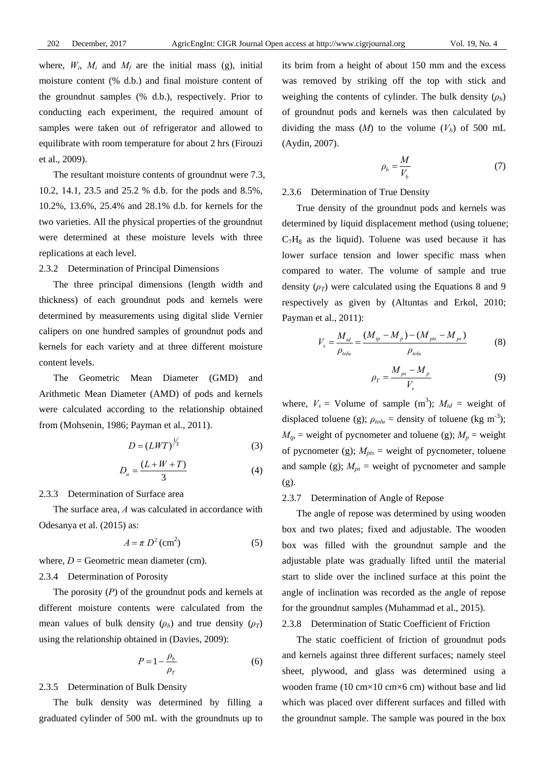where,  $W_i$ ,  $M_i$  and  $M_f$  are the initial mass (g), initial moisture content (% d.b.) and final moisture content of the groundnut samples (% d.b.), respectively. Prior to conducting each experiment, the required amount of samples were taken out of refrigerator and allowed to equilibrate with room temperature for about 2 hrs (Firouzi et al., 2009).

The resultant moisture contents of groundnut were 7.3, 10.2, 14.1, 23.5 and 25.2 % d.b. for the pods and 8.5%, 10.2%, 13.6%, 25.4% and 28.1% d.b. for kernels for the two varieties. All the physical properties of the groundnut were determined at these moisture levels with three replications at each level.

#### 2.3.2 Determination of Principal Dimensions

The three principal dimensions (length width and thickness) of each groundnut pods and kernels were determined by measurements using digital slide Vernier calipers on one hundred samples of groundnut pods and kernels for each variety and at three different moisture content levels.

The Geometric Mean Diameter (GMD) and Arithmetic Mean Diameter (AMD) of pods and kernels were calculated according to the relationship obtained from (Mohsenin, 1986; Payman et al., 2011).

$$
D = (LWT)^{\frac{1}{3}} \tag{3}
$$

$$
D_a = \frac{(L+W+T)}{3} \tag{4}
$$

#### 2.3.3 Determination of Surface area

The surface area, *A* was calculated in accordance with Odesanya et al. (2015) as:

$$
A = \pi D^2 \text{ (cm}^2)
$$
 (5)

where,  $D =$  Geometric mean diameter (cm).

#### 2.3.4 Determination of Porosity

The porosity (*P*) of the groundnut pods and kernels at different moisture contents were calculated from the mean values of bulk density  $(\rho_b)$  and true density  $(\rho_T)$ using the relationship obtained in (Davies, 2009):

$$
P = 1 - \frac{\rho_b}{\rho_T} \tag{6}
$$

#### 2.3.5 Determination of Bulk Density

The bulk density was determined by filling a graduated cylinder of 500 mL with the groundnuts up to its brim from a height of about 150 mm and the excess was removed by striking off the top with stick and weighing the contents of cylinder. The bulk density  $(\rho_b)$ of groundnut pods and kernels was then calculated by dividing the mass  $(M)$  to the volume  $(V_b)$  of 500 mL (Aydin, 2007).

$$
\rho_b = \frac{M}{V_b} \tag{7}
$$

2.3.6 Determination of True Density

True density of the groundnut pods and kernels was determined by liquid displacement method (using toluene;  $C_7H_8$  as the liquid). Toluene was used because it has lower surface tension and lower specific mass when compared to water. The volume of sample and true density  $(\rho_T)$  were calculated using the Equations 8 and 9 respectively as given by (Altuntas and Erkol, 2010; Payman et al., 2011):

$$
V_s = \frac{M_{td}}{\rho_{tolu}} = \frac{(M_{tp} - M_{p}) - (M_{ps} - M_{ps})}{\rho_{tolu}}
$$
(8)

$$
\rho_T = \frac{M_{ps} - M_p}{V_s} \tag{9}
$$

where,  $V_s$  = Volume of sample (m<sup>3</sup>);  $M_{td}$  = weight of displaced toluene (g);  $\rho_{tolu}$  = density of toluene (kg m<sup>-3</sup>);  $M_{tp}$  = weight of pycnometer and toluene (g);  $M_p$  = weight of pycnometer (g);  $M_{pts}$  = weight of pycnometer, toluene and sample (g);  $M_{ps}$  = weight of pycnometer and sample (g).

# 2.3.7 Determination of Angle of Repose

The angle of repose was determined by using wooden box and two plates; fixed and adjustable. The wooden box was filled with the groundnut sample and the adjustable plate was gradually lifted until the material start to slide over the inclined surface at this point the angle of inclination was recorded as the angle of repose for the groundnut samples (Muhammad et al., 2015).

## 2.3.8 Determination of Static Coefficient of Friction

The static coefficient of friction of groundnut pods and kernels against three different surfaces; namely steel sheet, plywood, and glass was determined using a wooden frame (10 cm×10 cm×6 cm) without base and lid which was placed over different surfaces and filled with the groundnut sample. The sample was poured in the box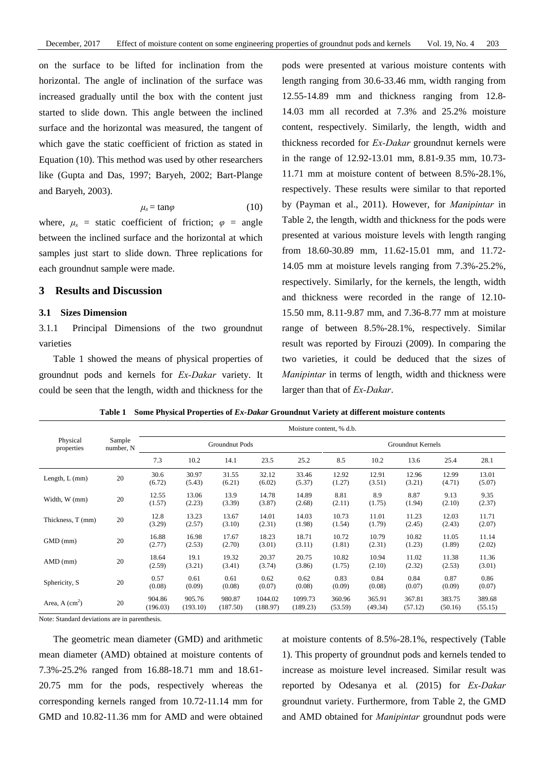on the surface to be lifted for inclination from the horizontal. The angle of inclination of the surface was increased gradually until the box with the content just started to slide down. This angle between the inclined surface and the horizontal was measured, the tangent of which gave the static coefficient of friction as stated in Equation (10). This method was used by other researchers like (Gupta and Das, 1997; Baryeh, 2002; Bart-Plange and Baryeh, 2003).

$$
\mu_s = \tan \varphi \tag{10}
$$

where,  $\mu_s$  = static coefficient of friction;  $\varphi$  = angle between the inclined surface and the horizontal at which samples just start to slide down. Three replications for each groundnut sample were made.

# **3 Results and Discussion**

#### **3.1 Sizes Dimension**

3.1.1 Principal Dimensions of the two groundnut varieties

Table 1 showed the means of physical properties of groundnut pods and kernels for *Ex-Dakar* variety. It could be seen that the length, width and thickness for the

pods were presented at various moisture contents with length ranging from 30.6-33.46 mm, width ranging from 12.55-14.89 mm and thickness ranging from 12.8- 14.03 mm all recorded at 7.3% and 25.2% moisture content, respectively. Similarly, the length, width and thickness recorded for *Ex-Dakar* groundnut kernels were in the range of 12.92-13.01 mm, 8.81-9.35 mm, 10.73- 11.71 mm at moisture content of between 8.5%-28.1%, respectively. These results were similar to that reported by (Payman et al., 2011). However, for *Manipintar* in Table 2, the length, width and thickness for the pods were presented at various moisture levels with length ranging from 18.60-30.89 mm, 11.62-15.01 mm, and 11.72- 14.05 mm at moisture levels ranging from 7.3%-25.2%, respectively. Similarly, for the kernels, the length, width and thickness were recorded in the range of 12.10- 15.50 mm, 8.11-9.87 mm, and 7.36-8.77 mm at moisture range of between 8.5%-28.1%, respectively. Similar result was reported by Firouzi (2009). In comparing the two varieties, it could be deduced that the sizes of *Manipintar* in terms of length, width and thickness were larger than that of *Ex-Dakar*.

|                        | Sample<br>number, N | Moisture content, % d.b. |                    |                    |                     |                     |                   |                   |                   |                   |                   |
|------------------------|---------------------|--------------------------|--------------------|--------------------|---------------------|---------------------|-------------------|-------------------|-------------------|-------------------|-------------------|
| Physical<br>properties |                     | Groundnut Pods           |                    |                    |                     | Groundnut Kernels   |                   |                   |                   |                   |                   |
|                        |                     | 7.3                      | 10.2               | 14.1               | 23.5                | 25.2                | 8.5               | 10.2              | 13.6              | 25.4              | 28.1              |
| Length, $L$ (mm)       | 20                  | 30.6<br>(6.72)           | 30.97<br>(5.43)    | 31.55<br>(6.21)    | 32.12<br>(6.02)     | 33.46<br>(5.37)     | 12.92<br>(1.27)   | 12.91<br>(3.51)   | 12.96<br>(3.21)   | 12.99<br>(4.71)   | 13.01<br>(5.07)   |
| Width, W (mm)          | 20                  | 12.55<br>(1.57)          | 13.06<br>(2.23)    | 13.9<br>(3.39)     | 14.78<br>(3.87)     | 14.89<br>(2.68)     | 8.81<br>(2.11)    | 8.9<br>(1.75)     | 8.87<br>(1.94)    | 9.13<br>(2.10)    | 9.35<br>(2.37)    |
| Thickness, T (mm)      | 20                  | 12.8<br>(3.29)           | 13.23<br>(2.57)    | 13.67<br>(3.10)    | 14.01<br>(2.31)     | 14.03<br>(1.98)     | 10.73<br>(1.54)   | 11.01<br>(1.79)   | 11.23<br>(2.45)   | 12.03<br>(2.43)   | 11.71<br>(2.07)   |
| $GMD$ (mm)             | 20                  | 16.88<br>(2.77)          | 16.98<br>(2.53)    | 17.67<br>(2.70)    | 18.23<br>(3.01)     | 18.71<br>(3.11)     | 10.72<br>(1.81)   | 10.79<br>(2.31)   | 10.82<br>(1.23)   | 11.05<br>(1.89)   | 11.14<br>(2.02)   |
| AMD (mm)               | 20                  | 18.64<br>(2.59)          | 19.1<br>(3.21)     | 19.32<br>(3.41)    | 20.37<br>(3.74)     | 20.75<br>(3.86)     | 10.82<br>(1.75)   | 10.94<br>(2.10)   | 11.02<br>(2.32)   | 11.38<br>(2.53)   | 11.36<br>(3.01)   |
| Sphericity, S          | 20                  | 0.57<br>(0.08)           | 0.61<br>(0.09)     | 0.61<br>(0.08)     | 0.62<br>(0.07)      | 0.62<br>(0.08)      | 0.83<br>(0.09)    | 0.84<br>(0.08)    | 0.84<br>(0.07)    | 0.87<br>(0.09)    | 0.86<br>(0.07)    |
| Area, A $(cm2)$        | 20                  | 904.86<br>(196.03)       | 905.76<br>(193.10) | 980.87<br>(187.50) | 1044.02<br>(188.97) | 1099.73<br>(189.23) | 360.96<br>(53.59) | 365.91<br>(49.34) | 367.81<br>(57.12) | 383.75<br>(50.16) | 389.68<br>(55.15) |

**Table 1 Some Physical Properties of** *Ex-Dakar* **Groundnut Variety at different moisture contents** 

Note: Standard deviations are in parenthesis.

The geometric mean diameter (GMD) and arithmetic mean diameter (AMD) obtained at moisture contents of 7.3%-25.2% ranged from 16.88-18.71 mm and 18.61- 20.75 mm for the pods, respectively whereas the corresponding kernels ranged from 10.72-11.14 mm for GMD and 10.82-11.36 mm for AMD and were obtained

at moisture contents of 8.5%-28.1%, respectively (Table 1). This property of groundnut pods and kernels tended to increase as moisture level increased. Similar result was reported by Odesanya et al*.* (2015) for *Ex-Dakar* groundnut variety. Furthermore, from Table 2, the GMD and AMD obtained for *Manipintar* groundnut pods were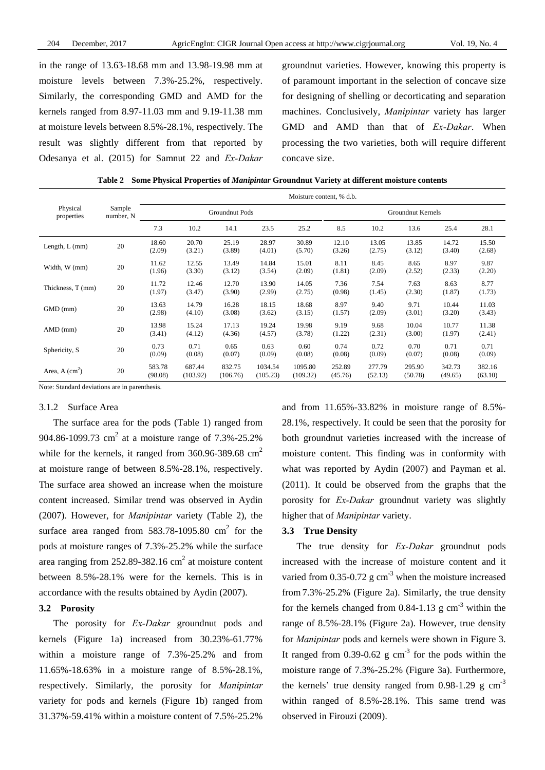in the range of 13.63-18.68 mm and 13.98-19.98 mm at moisture levels between 7.3%-25.2%, respectively. Similarly, the corresponding GMD and AMD for the kernels ranged from 8.97-11.03 mm and 9.19-11.38 mm at moisture levels between 8.5%-28.1%, respectively. The result was slightly different from that reported by Odesanya et al. (2015) for Samnut 22 and *Ex-Dakar* groundnut varieties. However, knowing this property is of paramount important in the selection of concave size for designing of shelling or decorticating and separation machines. Conclusively, *Manipintar* variety has larger GMD and AMD than that of *Ex-Dakar*. When processing the two varieties, both will require different concave size.

| Table 2 Some Physical Properties of Manipintar Groundnut Variety at different moisture contents |  |  |
|-------------------------------------------------------------------------------------------------|--|--|
|                                                                                                 |  |  |

|                              | Sample<br>number, N | Moisture content, % d.b. |                    |                    |                     |                     |                   |                   |                   |                   |                   |
|------------------------------|---------------------|--------------------------|--------------------|--------------------|---------------------|---------------------|-------------------|-------------------|-------------------|-------------------|-------------------|
| Physical<br>properties       |                     | Groundnut Pods           |                    |                    |                     | Groundnut Kernels   |                   |                   |                   |                   |                   |
|                              |                     | 7.3                      | 10.2               | 14.1               | 23.5                | 25.2                | 8.5               | 10.2              | 13.6              | 25.4              | 28.1              |
| Length, $L$ (mm)             | 20                  | 18.60<br>(2.09)          | 20.70<br>(3.21)    | 25.19<br>(3.89)    | 28.97<br>(4.01)     | 30.89<br>(5.70)     | 12.10<br>(3.26)   | 13.05<br>(2.75)   | 13.85<br>(3.12)   | 14.72<br>(3.40)   | 15.50<br>(2.68)   |
| Width, W (mm)                | 20                  | 11.62<br>(1.96)          | 12.55<br>(3.30)    | 13.49<br>(3.12)    | 14.84<br>(3.54)     | 15.01<br>(2.09)     | 8.11<br>(1.81)    | 8.45<br>(2.09)    | 8.65<br>(2.52)    | 8.97<br>(2.33)    | 9.87<br>(2.20)    |
| Thickness, T (mm)            | 20                  | 11.72<br>(1.97)          | 12.46<br>(3.47)    | 12.70<br>(3.90)    | 13.90<br>(2.99)     | 14.05<br>(2.75)     | 7.36<br>(0.98)    | 7.54<br>(1.45)    | 7.63<br>(2.30)    | 8.63<br>(1.87)    | 8.77<br>(1.73)    |
| $GMD$ (mm)                   | 20                  | 13.63<br>(2.98)          | 14.79<br>(4.10)    | 16.28<br>(3.08)    | 18.15<br>(3.62)     | 18.68<br>(3.15)     | 8.97<br>(1.57)    | 9.40<br>(2.09)    | 9.71<br>(3.01)    | 10.44<br>(3.20)   | 11.03<br>(3.43)   |
| AMD (mm)                     | 20                  | 13.98<br>(3.41)          | 15.24<br>(4.12)    | 17.13<br>(4.36)    | 19.24<br>(4.57)     | 19.98<br>(3.78)     | 9.19<br>(1.22)    | 9.68<br>(2.31)    | 10.04<br>(3.00)   | 10.77<br>(1.97)   | 11.38<br>(2.41)   |
| Sphericity, S                | 20                  | 0.73<br>(0.09)           | 0.71<br>(0.08)     | 0.65<br>(0.07)     | 0.63<br>(0.09)      | 0.60<br>(0.08)      | 0.74<br>(0.08)    | 0.72<br>(0.09)    | 0.70<br>(0.07)    | 0.71<br>(0.08)    | 0.71<br>(0.09)    |
| Area, $A$ (cm <sup>2</sup> ) | 20                  | 583.78<br>(98.08)        | 687.44<br>(103.92) | 832.75<br>(106.76) | 1034.54<br>(105.23) | 1095.80<br>(109.32) | 252.89<br>(45.76) | 277.79<br>(52.13) | 295.90<br>(50.78) | 342.73<br>(49.65) | 382.16<br>(63.10) |

Note: Standard deviations are in parenthesis.

## 3.1.2 Surface Area

The surface area for the pods (Table 1) ranged from 904.86-1099.73 cm<sup>2</sup> at a moisture range of 7.3%-25.2% while for the kernels, it ranged from  $360.96-389.68$  cm<sup>2</sup> at moisture range of between 8.5%-28.1%, respectively. The surface area showed an increase when the moisture content increased. Similar trend was observed in Aydin (2007). However, for *Manipintar* variety (Table 2), the surface area ranged from  $583.78-1095.80$  cm<sup>2</sup> for the pods at moisture ranges of 7.3%-25.2% while the surface area ranging from 252.89-382.16  $\text{cm}^2$  at moisture content between 8.5%-28.1% were for the kernels. This is in accordance with the results obtained by Aydin (2007).

# **3.2 Porosity**

The porosity for *Ex-Dakar* groundnut pods and kernels (Figure 1a) increased from 30.23%-61.77% within a moisture range of 7.3%-25.2% and from 11.65%-18.63% in a moisture range of 8.5%-28.1%, respectively. Similarly, the porosity for *Manipintar* variety for pods and kernels (Figure 1b) ranged from 31.37%-59.41% within a moisture content of 7.5%-25.2%

and from 11.65%-33.82% in moisture range of 8.5%- 28.1%, respectively. It could be seen that the porosity for both groundnut varieties increased with the increase of moisture content. This finding was in conformity with what was reported by Aydin (2007) and Payman et al. (2011). It could be observed from the graphs that the porosity for *Ex-Dakar* groundnut variety was slightly higher that of *Manipintar* variety.

## **3.3 True Density**

The true density for *Ex-Dakar* groundnut pods increased with the increase of moisture content and it varied from  $0.35$ -0.72 g cm<sup>-3</sup> when the moisture increased from 7.3%-25.2% (Figure 2a). Similarly, the true density for the kernels changed from  $0.84$ -1.13 g cm<sup>-3</sup> within the range of 8.5%-28.1% (Figure 2a). However, true density for *Manipintar* pods and kernels were shown in Figure 3. It ranged from  $0.39$ - $0.62$  g cm<sup>-3</sup> for the pods within the moisture range of 7.3%-25.2% (Figure 3a). Furthermore, the kernels' true density ranged from  $0.98-1.29 \text{ g cm}^{-3}$ within ranged of 8.5%-28.1%. This same trend was observed in Firouzi (2009).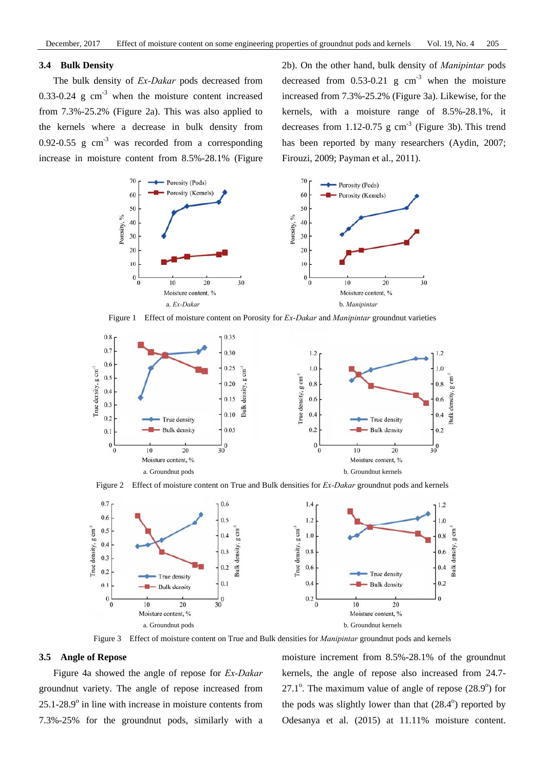# **3.4 Bulk Density**

The bulk density of *Ex-Dakar* pods decreased from 0.33-0.24 g  $cm<sup>-3</sup>$  when the moisture content increased from 7.3%-25.2% (Figure 2a). This was also applied to the kernels where a decrease in bulk density from 0.92-0.55 g  $cm^{-3}$  was recorded from a corresponding increase in moisture content from 8.5%-28.1% (Figure 2b). On the other hand, bulk density of *Manipintar* pods decreased from  $0.53-0.21$  g cm<sup>-3</sup> when the moisture increased from 7.3%-25.2% (Figure 3a). Likewise, for the kernels, with a moisture range of 8.5%-28.1%, it decreases from 1.12-0.75 g  $\text{cm}^{-3}$  (Figure 3b). This trend has been reported by many researchers (Aydin, 2007; Firouzi, 2009; Payman et al., 2011).



Figure 1 Effect of moisture content on Porosity for *Ex-Dakar* and *Manipintar* groundnut varieties



Figure 2 Effect of moisture content on True and Bulk densities for *Ex-Dakar* groundnut pods and kernels



Figure 3 Effect of moisture content on True and Bulk densities for *Manipintar* groundnut pods and kernels

#### **3.5 Angle of Repose**

Figure 4a showed the angle of repose for *Ex-Dakar* groundnut variety. The angle of repose increased from  $25.1 - 28.9^\circ$  in line with increase in moisture contents from 7.3%-25% for the groundnut pods, similarly with a

moisture increment from 8.5%-28.1% of the groundnut kernels, the angle of repose also increased from 24.7- 27.1 $^{\circ}$ . The maximum value of angle of repose (28.9 $^{\circ}$ ) for the pods was slightly lower than that  $(28.4^{\circ})$  reported by Odesanya et al. (2015) at 11.11% moisture content.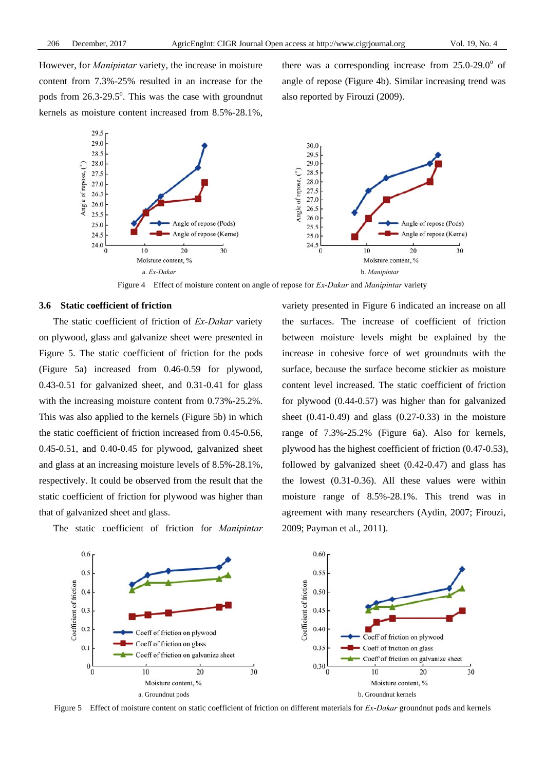However, for *Manipintar* variety, the increase in moisture content from 7.3%-25% resulted in an increase for the pods from  $26.3 - 29.5^\circ$ . This was the case with groundnut kernels as moisture content increased from 8.5%-28.1%,

there was a corresponding increase from  $25.0$ - $29.0^\circ$  of angle of repose (Figure 4b). Similar increasing trend was also reported by Firouzi (2009).



Figure 4 Effect of moisture content on angle of repose for *Ex-Dakar* and *Manipintar* variety

#### **3.6 Static coefficient of friction**

The static coefficient of friction of *Ex-Dakar* variety on plywood, glass and galvanize sheet were presented in Figure 5. The static coefficient of friction for the pods (Figure 5a) increased from 0.46-0.59 for plywood, 0.43-0.51 for galvanized sheet, and 0.31-0.41 for glass with the increasing moisture content from 0.73%-25.2%. This was also applied to the kernels (Figure 5b) in which the static coefficient of friction increased from 0.45-0.56, 0.45-0.51, and 0.40-0.45 for plywood, galvanized sheet and glass at an increasing moisture levels of 8.5%-28.1%, respectively. It could be observed from the result that the static coefficient of friction for plywood was higher than that of galvanized sheet and glass.

The static coefficient of friction for *Manipintar*

variety presented in Figure 6 indicated an increase on all the surfaces. The increase of coefficient of friction between moisture levels might be explained by the increase in cohesive force of wet groundnuts with the surface, because the surface become stickier as moisture content level increased. The static coefficient of friction for plywood (0.44-0.57) was higher than for galvanized sheet  $(0.41-0.49)$  and glass  $(0.27-0.33)$  in the moisture range of 7.3%-25.2% (Figure 6a). Also for kernels, plywood has the highest coefficient of friction (0.47-0.53), followed by galvanized sheet (0.42-0.47) and glass has the lowest (0.31-0.36). All these values were within moisture range of 8.5%-28.1%. This trend was in agreement with many researchers (Aydin, 2007; Firouzi, 2009; Payman et al., 2011).



Figure 5 Effect of moisture content on static coefficient of friction on different materials for *Ex-Dakar* groundnut pods and kernels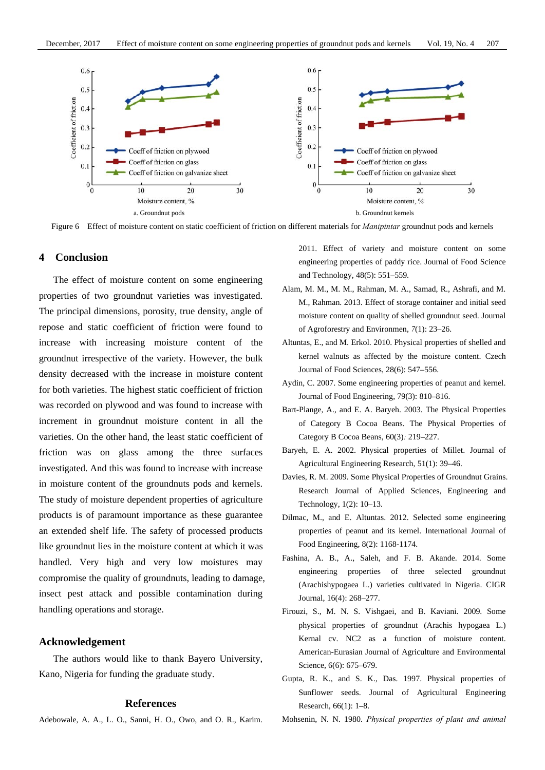

Figure 6 Effect of moisture content on static coefficient of friction on different materials for *Manipintar* groundnut pods and kernels

# **4 Conclusion**

The effect of moisture content on some engineering properties of two groundnut varieties was investigated. The principal dimensions, porosity, true density, angle of repose and static coefficient of friction were found to increase with increasing moisture content of the groundnut irrespective of the variety. However, the bulk density decreased with the increase in moisture content for both varieties. The highest static coefficient of friction was recorded on plywood and was found to increase with increment in groundnut moisture content in all the varieties. On the other hand, the least static coefficient of friction was on glass among the three surfaces investigated. And this was found to increase with increase in moisture content of the groundnuts pods and kernels. The study of moisture dependent properties of agriculture products is of paramount importance as these guarantee an extended shelf life. The safety of processed products like groundnut lies in the moisture content at which it was handled. Very high and very low moistures may compromise the quality of groundnuts, leading to damage, insect pest attack and possible contamination during handling operations and storage.

#### **Acknowledgement**

The authors would like to thank Bayero University, Kano, Nigeria for funding the graduate study.

# **References**

Adebowale, A. A., L. O., Sanni, H. O., Owo, and O. R., Karim.

2011. Effect of variety and moisture content on some engineering properties of paddy rice. Journal of Food Science and Technology, 48(5): 551–559.

- Alam, M. M., M. M., Rahman, M. A., Samad, R., Ashrafi, and M. M., Rahman. 2013. Effect of storage container and initial seed moisture content on quality of shelled groundnut seed. Journal of Agroforestry and Environmen, *7*(1): 23–26.
- Altuntas, E., and M. Erkol. 2010. Physical properties of shelled and kernel walnuts as affected by the moisture content. Czech Journal of Food Sciences, 28(6): 547–556.
- Aydin, C. 2007. Some engineering properties of peanut and kernel. Journal of Food Engineering, 79(3): 810–816.
- Bart-Plange, A., and E. A. Baryeh. 2003. The Physical Properties of Category B Cocoa Beans. The Physical Properties of Category B Cocoa Beans, 60(3)*:* 219–227.
- Baryeh, E. A. 2002. Physical properties of Millet. Journal of Agricultural Engineering Research, 51(1): 39–46.
- Davies, R. M. 2009. Some Physical Properties of Groundnut Grains. Research Journal of Applied Sciences, Engineering and Technology, 1(2): 10–13.
- Dilmac, M., and E. Altuntas. 2012. Selected some engineering properties of peanut and its kernel. International Journal of Food Engineering, 8(2): 1168-1174.
- Fashina, A. B., A., Saleh, and F. B. Akande. 2014. Some engineering properties of three selected groundnut (Arachishypogaea L.) varieties cultivated in Nigeria. CIGR Journal, 16(4): 268–277.
- Firouzi, S., M. N. S. Vishgaei, and B. Kaviani. 2009. Some physical properties of groundnut (Arachis hypogaea L.) Kernal cv. NC2 as a function of moisture content. American-Eurasian Journal of Agriculture and Environmental Science, 6(6): 675-679.
- Gupta, R. K., and S. K., Das. 1997. Physical properties of Sunflower seeds. Journal of Agricultural Engineering Research, 66(1): 1–8.
- Mohsenin, N. N. 1980. *Physical properties of plant and animal*